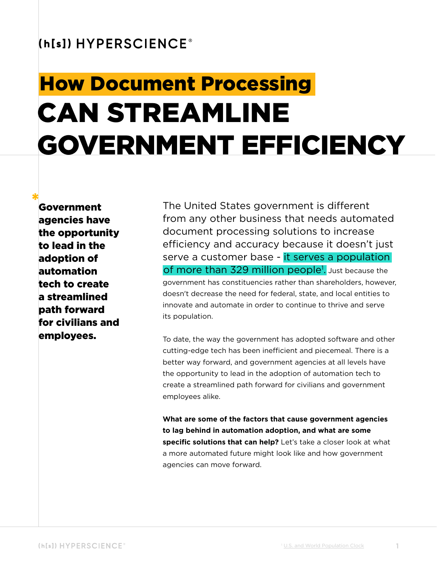#### (h[s]) HYPERSCIENCE®

# CAN STREAMLINE GOVERNMENT EFFICIENCY How Document Processing

Government agencies have the opportunity to lead in the adoption of automation tech to create a streamlined path forward for civilians and employees.

The United States government is different from any other business that needs automated document processing solutions to increase efficiency and accuracy because it doesn't just serve a customer base - it serves a population of more than 329 million people<sup>1</sup>. Just because the government has constituencies rather than shareholders, however, doesn't decrease the need for federal, state, and local entities to innovate and automate in order to continue to thrive and serve its population.

To date, the way the government has adopted software and other cutting-edge tech has been inefficient and piecemeal. There is a better way forward, and government agencies at all levels have the opportunity to lead in the adoption of automation tech to create a streamlined path forward for civilians and government employees alike.

**What are some of the factors that cause government agencies to lag behind in automation adoption, and what are some specific solutions that can help?** Let's take a closer look at what a more automated future might look like and how government agencies can move forward.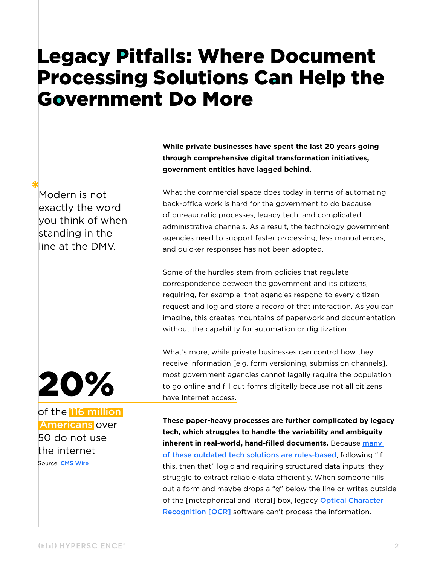### Legacy Pitfalls: Where Document Processing Solutions Can Help the Government Do More

**While private businesses have spent the last 20 years going through comprehensive digital transformation initiatives, government entities have lagged behind.** 

Modern is not exactly the word you think of when standing in the line at the DMV.

What the commercial space does today in terms of automating back-office work is hard for the government to do because of bureaucratic processes, legacy tech, and complicated administrative channels. As a result, the technology government agencies need to support faster processing, less manual errors, and quicker responses has not been adopted.

Some of the hurdles stem from policies that regulate correspondence between the government and its citizens, requiring, for example, that agencies respond to every citizen request and log and store a record of that interaction. As you can imagine, this creates mountains of paperwork and documentation without the capability for automation or digitization.

What's more, while private businesses can control how they receive information [e.g. form versioning, submission channels], most government agencies cannot legally require the population to go online and fill out forms digitally because not all citizens have Internet access.

**These paper-heavy processes are further complicated by legacy tech, which struggles to handle the variability and ambiguity inherent in real-world, hand-filled documents.** Because many [of these outdated tech solutions are rules-based](https://hyperscience.com/blog/an-intelligent-approach-to-document-processing/?utm_campaign=en-202010-webcontent-government-idp-guide&utm_medium=pdf &utm_source=webcontent&utm_content=intelligent_approach_processing), following "if this, then that" logic and requiring structured data inputs, they struggle to extract reliable data efficiently. When someone fills out a form and maybe drops a "g" below the line or writes outside of the [metaphorical and literal] box, legacy Optical Character [Recognition \[OCR\]](https://hyperscience.com/blog/acronyms-explained-idp-vs-ocr/?utm_campaign=en-202010-webcontent-government-idp-guide&utm_medium=pdf&utm_source=webcontent&utm_content=idp_ocr) software can't process the information.

of the 116 million  [Americans](https://hyperscience.com/blog/where-your-data-comes-from/) over 20%

50 do not use the internet

Source: [CMS Wire](https://www.cmswire.com/digital-workplace/the-elephant-in-the-digital-transformation-room-the-long-tail-of-legacy-tech/)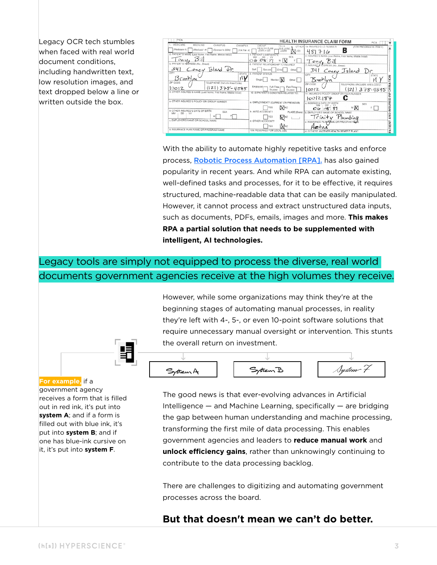Legacy OCR tech stumbles when faced with real world document conditions, including handwritten text, low resolution images, and text dropped below a line or written outside the box.

| PICA                                                                                     |                                                            | HEALTH INSURANCE CLAIM FORM<br>PICA                          |
|------------------------------------------------------------------------------------------|------------------------------------------------------------|--------------------------------------------------------------|
| 1. MEDICARE<br>MEDICAID<br>CHAMPUS<br>CHAMPVA                                            | GROUP<br>FECA<br>OTHER<br>HEALTH PLAN<br><b>BLK LUNG</b>   | to INSURED'S LD. NUMBER<br>(FOR PROGRAM IN ITEM 1)           |
| (Medicare #)<br>$(M^{c}\sigma^{c}cai\sigma\neq\theta)$<br>(Soonsor's SSN)<br>(VA File #) | (SSN or 10)<br>(SSN)<br>(1D)                               | R<br>710                                                     |
| 2. PATIENT'S NAME (Last Name, First Name, Middle Initial)                                | <b>3. PATIENT'S BIRTH DATE</b><br>SEX<br>MM<br>DD.<br>. YY | 4. INSURED'S NAME (Last Name, First Name, Middle Initial)    |
| ONI<br>5. PATIENT'S ADDRESS (No., Street)                                                | OS<br>$\mathcal{R}^{\prime}$<br>$\bigcirc$ lo              | Bill<br>$T_{OML}$                                            |
|                                                                                          | 6. PATIENT RELATIONSHIP TO INSURED                         | 7. INSURRO'S<br>ADDRESS (No., Street)                        |
| Concy Bland Pr<br>CITY<br><b>STATE</b>                                                   | Salt<br>Spouse<br>Other<br><b>PATIENT STATUS</b>           | 341<br>Coney Island D                                        |
| nv<br>Brooklyn                                                                           | Single<br>Marrioti   N<br>Other                            | CITY<br><b>STATE</b><br>TION<br>Brooklyn                     |
| ZIP CODE<br>TELEPHONE (Include Area Code)                                                | Employed -<br>Full-Time<br>Part-Timer                      | ď<br>ZIP CODE<br>TELEPHONE (INCLUDE AREA CODE)<br>s          |
| $(121)$ 378-4545<br>10012                                                                | Sturient<br>Student                                        | $\frac{\alpha}{\alpha}$<br>(21) 378-4545<br>2012             |
| 9. OTHER INSURED'S NAME (Last Name, First Name, Middle Initial)                          | 10. IS PATIENT'S CONDITION RELATED TO:                     | 11. INSURED'S POLICY GROUP OR FECA NUMBER<br>z               |
| a. OTHER INSURED'S POLICY OR GROUP NUMBER                                                |                                                            | 10012187<br>٥<br>ш                                           |
|                                                                                          | a. EMPLOYMENT? (CURRENT OR PREVIOUS)                       | NSUR<br>a. INSURED'S DATE OF BIRTH<br><b>SEX</b><br>DD       |
| <b>b. OTHER INSURED'S DATE OF BIRTH</b><br><b>SEX</b>                                    | <b>N</b> <sub>NO</sub><br><b>b. AUTO ACCIDENT?</b>         | MX<br>$O(G \cup Y)$<br>81                                    |
| DD.<br>MM<br>. YY<br>M                                                                   | PLACE (State)<br>YES                                       | <b>b. EMPLOYER'S NAME OR SCHOOL NAME</b><br>$\circ$<br>z     |
| c. EMPLOYER'S NAME OR SCHOOL NAME                                                        | ∨⊠<br>c. OTHER ACCIDENT?                                   | Trinity<br>ď<br>c. INSURANCE PLAN NAME OR PROGRAM NAME       |
|                                                                                          | <b>INNO</b><br><b>TES</b>                                  | 쁟                                                            |
| d. INSURANCE PLAN NAME OR PROGRAM NAME                                                   | 10d. RESERVED FOR LOCAL USE                                | C-TAC<br>ď<br>d. IS THERE ANOTHER HEALTH BENEFIT PLAN?<br>a. |

With the ability to automate highly repetitive tasks and enforce process, [Robotic Process Automation \[RPA\].](https://hyperscience.com/blog/integrating-with-rpa/?utm_campaign=en-202010-webcontent-government-idp-guide&utm_medium=pdf&utm_source=webcontent&utm_content=acronyms_explained_rpa) has also gained popularity in recent years. And while RPA can automate existing, well-defined tasks and processes, for it to be effective, it requires structured, machine-readable data that can be easily manipulated. However, it cannot process and extract unstructured data inputs, such as documents, PDFs, emails, images and more. **This makes RPA a partial solution that needs to be supplemented with intelligent, AI technologies.** 

#### Legacy tools are simply not equipped to process the diverse, real world documents government agencies receive at the high volumes they receive.

However, while some organizations may think they're at the beginning stages of automating manual processes, in reality they're left with 4-, 5-, or even 10-point software solutions that require unnecessary manual oversight or intervention. This stunts the overall return on investment.



**For example,** if a government agency receives a form that is filled out in red ink, it's put into **system A**; and if a form is filled out with blue ink, it's put into **system B**; and if one has blue-ink cursive on it, it's put into **system F**.

The good news is that ever-evolving advances in Artificial Intelligence — and Machine Learning, specifically — are bridging the gap between human understanding and machine processing, transforming the first mile of data processing. This enables government agencies and leaders to **reduce manual work** and **unlock efficiency gains**, rather than unknowingly continuing to contribute to the data processing backlog.

There are challenges to digitizing and automating government processes across the board.

#### **But that doesn't mean we can't do better.**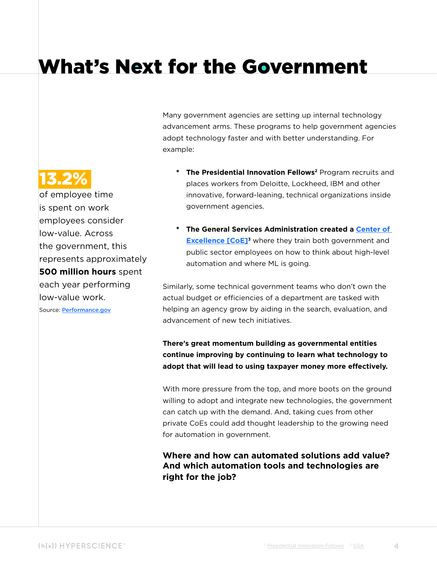## What's Next for the Government

Many government agencies are setting up internal technology advancement arms. These programs to help government agencies adopt technology faster and with better understanding. For example:

- \* **The Presidential Innovation Fellows2** Program recruits and places workers from Deloitte, Lockheed, IBM and other innovative, forward-leaning, technical organizations inside government agencies.
- \* **The General Services Administration created a [Center of](https://hyperscience.com/library/guides/how-to-build-an-automation-center-of-excellence-coe/?utm_campaign=en-202010-webcontent-government-idp-guide&utm_medium=pdf&utm_source=webcontent&utm_content=) Excellence [CoE]<sup>3</sup>** where they train both government and public sector employees on how to think about high-level automation and where ML is going.

Similarly, some technical government teams who don't own the actual budget or efficiencies of a department are tasked with helping an agency grow by aiding in the search, evaluation, and advancement of new tech initiatives.

**There's great momentum building as governmental entities continue improving by continuing to learn what technology to adopt that will lead to using taxpayer money more effectively.**

With more pressure from the top, and more boots on the ground willing to adopt and integrate new technologies, the government can catch up with the demand. And, taking cues from other private [CoEs](https://hyperscience.com/library/guides/how-to-build-an-automation-center-of-excellence-coe/?utm_campaign=en-202010-webcontent-government-idp-guide&utm_medium=pdf&utm_source=webcontent&utm_content=) could add thought leadership to the growing need for automation in government.

**Where and how can automated solutions add value? And which automation tools and technologies are right for the job?**

### 13.2%

of employee time is spent on work employees consider low-value. Across the government, this represents approximately **500 million hours** spent each year performing low-value work.

Source: [Performance.gov](https://www.performance.gov/liberating-fed-employees-from-low-value-work-underway/)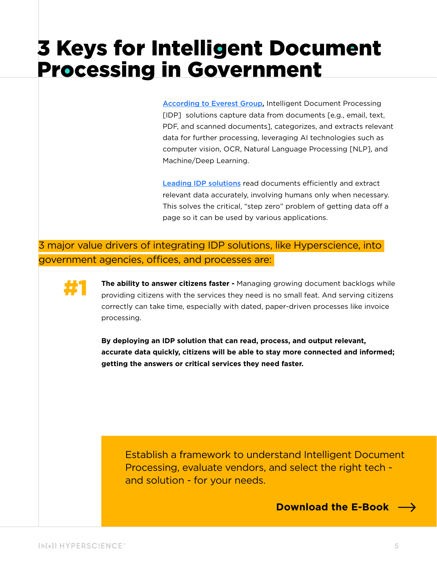# 3 Keys for Intelligent Document Processing in Government

[According to Everest Group,](https://hyperscience.com/blog/everest-group-idp-peak-matrix-2020/?utm_campaign=en-202010-webcontent-government-idp-guide&utm_medium=pdf&utm_source=webcontent&utm_content=) Intelligent Document Processing [IDP] solutions capture data from documents [e.g., email, text, PDF, and scanned documents], categorizes, and extracts relevant data for further processing, leveraging AI technologies such as computer vision, OCR, Natural Language Processing [NLP], and Machine/Deep Learning.

[Leading IDP solutions](https://hyperscience.com/library/guides/how-to-choose-an-idp-solution/?utm_campaign=en-202010-webcontent-government-idp-guide&utm_medium=pdf&utm_source=webcontent&utm_content=) read documents efficiently and extract relevant data accurately, involving humans only when necessary. This solves the critical, "step zero" problem of getting data off a page so it can be used by various applications.

3 major value drivers of integrating IDP solutions, like Hyperscience, into government agencies, offices, and processes are:



**The ability to answer citizens faster -** Managing growing document backlogs while providing citizens with the services they need is no small feat. And serving citizens correctly can take time, especially with dated, paper-driven processes like invoice processing.

**By deploying an IDP solution that can read, process, and output relevant, accurate data quickly, citizens will be able to stay more connected and informed; getting the answers or critical services they need faster.**

[Establish a framework to understand Intelligent Document](https://hyperscience.com/library/guides/how-to-choose-an-idp-solution/?utm_campaign=en-202010-webcontent-government-idp-guide&utm_medium=pdf&utm_source=webcontent&utm_content=)  Processing, evaluate vendors, and select the right tech and solution - for your needs.

**[Download the E-Book](https://hyperscience.com/library/guides/how-to-choose-an-idp-solution/?utm_campaign=en-202010-webcontent-government-idp-guide&utm_medium=pdf&utm_source=webcontent&utm_content=)**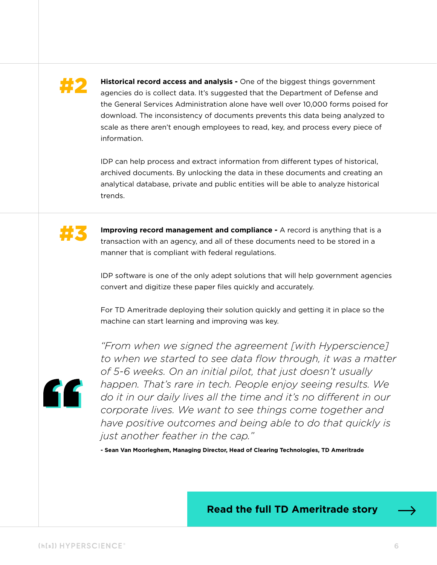### #2

**Historical record access and analysis -** One of the biggest things government agencies do is collect data. [It's suggested that the Department of Defense and](https://fcw.com/articles/2020/08/18/comment-garland-put-forms-to-work.aspx)  [the General Services Administration alone have well over 10,000 forms poised for](https://fcw.com/articles/2020/08/18/comment-garland-put-forms-to-work.aspx)  [download.](https://fcw.com/articles/2020/08/18/comment-garland-put-forms-to-work.aspx) The inconsistency of documents prevents this data being analyzed to scale as there aren't enough employees to read, key, and process every piece of information.

IDP can help process and extract information from different types of historical, archived documents. By unlocking the data in these documents and creating an analytical database, private and public entities will be able to analyze historical trends.



**Improving record management and compliance -** A record is anything that is a transaction with an agency, and all of these documents need to be stored in a manner that is compliant with federal regulations.

IDP software is one of the only adept solutions that will help government agencies convert and digitize these paper files quickly and accurately.

For [TD Ameritrade](https://hyperscience.com/customers/tdameritrade-further-client-experience/?utm_campaign=en-202010-webcontent-government-idp-guide&utm_medium=pdf&utm_source=webcontent&utm_content=TDA) deploying their solution quickly and getting it in place so the machine can start learning and improving was key.



*"From when we signed the agreement [with Hyperscience] to when we started to see data flow through, it was a matter of 5-6 weeks. On an initial pilot, that just doesn't usually happen. That's rare in tech. People enjoy seeing results. We do it in our daily lives all the time and it's no different in our corporate lives. We want to see things come together and have positive outcomes and being able to do that quickly is just another feather in the cap."* 

**- Sean Van Moorleghem, Managing Director, Head of Clearing Technologies, TD Ameritrade**

#### **[Read the full TD Ameritrade story](https://hyperscience.com/customers/tdameritrade-further-client-experience/?utm_campaign=en-202010-webcontent-government-idp-guide&utm_medium=pdf&utm_source=webcontent&utm_content=TDA)**